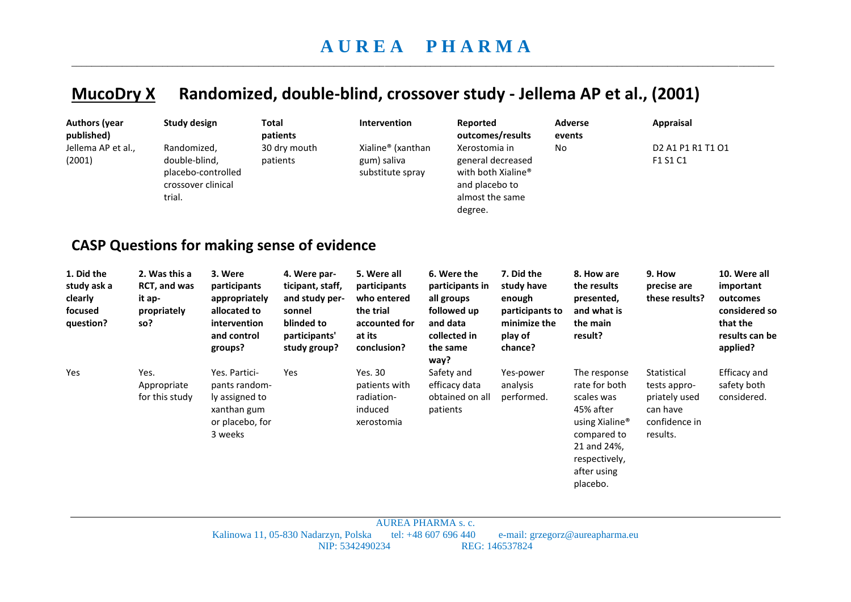## **MucoDry X Randomized, double-blind, crossover study - Jellema AP et al., (2001)**

| <b>Authors (year</b><br>published)                           | <b>Study design</b>                                                                | Total                                                                                              | patients                                                                                                    | Intervention                                                                                      | Reported                                                                                                    | outcomes/results                                                                            | <b>Adverse</b><br>events                                                                                                                                         | Appraisal                                                                                             |                                                                                                  |
|--------------------------------------------------------------|------------------------------------------------------------------------------------|----------------------------------------------------------------------------------------------------|-------------------------------------------------------------------------------------------------------------|---------------------------------------------------------------------------------------------------|-------------------------------------------------------------------------------------------------------------|---------------------------------------------------------------------------------------------|------------------------------------------------------------------------------------------------------------------------------------------------------------------|-------------------------------------------------------------------------------------------------------|--------------------------------------------------------------------------------------------------|
| Jellema AP et al.,<br>(2001)                                 | Randomized,<br>double-blind,<br>placebo-controlled<br>crossover clinical<br>trial. |                                                                                                    | 30 dry mouth<br>patients                                                                                    | Xialine® (xanthan<br>gum) saliva<br>substitute spray                                              | Xerostomia in<br>and placebo to<br>almost the same<br>degree.                                               | general decreased<br>with both Xialine <sup>®</sup>                                         | No                                                                                                                                                               | D <sub>2</sub> A <sub>1</sub> P <sub>1</sub> R <sub>1</sub> T <sub>1</sub> O <sub>1</sub><br>F1 S1 C1 |                                                                                                  |
| <b>CASP Questions for making sense of evidence</b>           |                                                                                    |                                                                                                    |                                                                                                             |                                                                                                   |                                                                                                             |                                                                                             |                                                                                                                                                                  |                                                                                                       |                                                                                                  |
| 1. Did the<br>study ask a<br>clearly<br>focused<br>question? | 2. Was this a<br>RCT, and was<br>it ap-<br>propriately<br>so?                      | 3. Were<br>participants<br>appropriately<br>allocated to<br>intervention<br>and control<br>groups? | 4. Were par-<br>ticipant, staff,<br>and study per-<br>sonnel<br>blinded to<br>participants'<br>study group? | 5. Were all<br>participants<br>who entered<br>the trial<br>accounted for<br>at its<br>conclusion? | 6. Were the<br>participants in<br>all groups<br>followed up<br>and data<br>collected in<br>the same<br>way? | 7. Did the<br>study have<br>enough<br>participants to<br>minimize the<br>play of<br>chance? | 8. How are<br>the results<br>presented,<br>and what is<br>the main<br>result?                                                                                    | 9. How<br>precise are<br>these results?                                                               | 10. Were all<br>important<br>outcomes<br>considered so<br>that the<br>results can be<br>applied? |
| Yes                                                          | Yes.<br>Appropriate<br>for this study                                              | Yes. Partici-<br>pants random-<br>ly assigned to<br>xanthan gum<br>or placebo, for<br>3 weeks      | Yes                                                                                                         | <b>Yes. 30</b><br>patients with<br>radiation-<br>induced<br>xerostomia                            | Safety and<br>efficacy data<br>obtained on all<br>patients                                                  | Yes-power<br>analysis<br>performed.                                                         | The response<br>rate for both<br>scales was<br>45% after<br>using Xialine <sup>®</sup><br>compared to<br>21 and 24%,<br>respectively,<br>after using<br>placebo. | Statistical<br>tests appro-<br>priately used<br>can have<br>confidence in<br>results.                 | <b>Efficacy</b> and<br>safety both<br>considered.                                                |